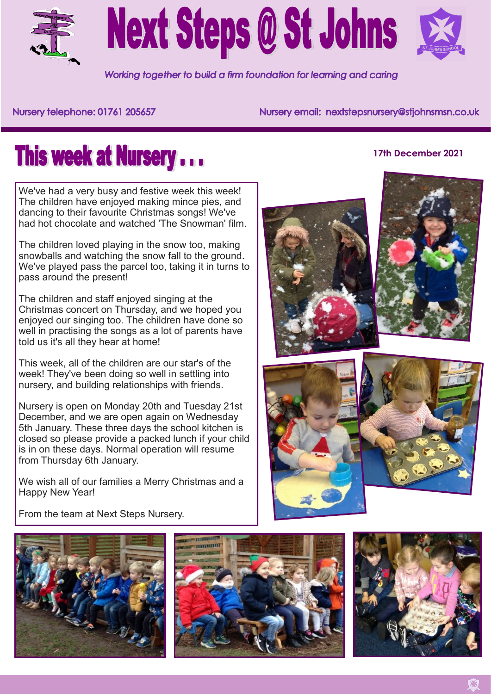



Working together to build a firm foundation for learning and caring

## Nursery telephone: 01761 205657

Nursery email: nextstepsnursery@stjohnsmsn.co.uk

## **This week at Nursery...**

We've had a very busy and festive week this week! The children have enjoyed making mince pies, and dancing to their favourite Christmas songs! We've had hot chocolate and watched 'The Snowman' film

The children loved playing in the snow too, making snowballs and watching the snow fall to the ground. We've played pass the parcel too, taking it in turns to pass around the present!

The children and staff enjoyed singing at the Christmas concert on Thursday, and we hoped you enjoyed our singing too. The children have done so well in practising the songs as a lot of parents have told us it's all they hear at home!

This week, all of the children are our star's of the week! They've been doing so well in settling into nursery, and building relationships with friends.

Nursery is open on Monday 20th and Tuesday 21st December, and we are open again on Wednesday 5th January. These three days the school kitchen is closed so please provide a packed lunch if your child is in on these days. Normal operation will resume from Thursday 6th January.

We wish all of our families a Merry Christmas and a Happy New Year!



**17th December 2021**



From the team at Next Steps Nursery.